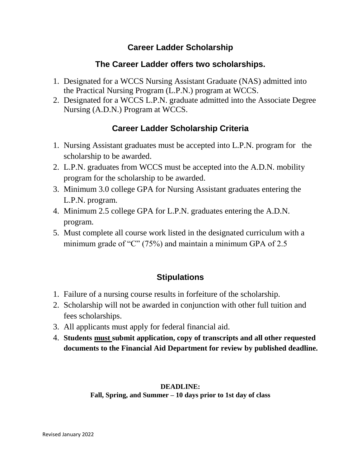#### **Career Ladder Scholarship**

### **The Career Ladder offers two scholarships.**

- 1. Designated for a WCCS Nursing Assistant Graduate (NAS) admitted into the Practical Nursing Program (L.P.N.) program at WCCS.
- 2. Designated for a WCCS L.P.N. graduate admitted into the Associate Degree Nursing (A.D.N.) Program at WCCS.

# **Career Ladder Scholarship Criteria**

- 1. Nursing Assistant graduates must be accepted into L.P.N. program for the scholarship to be awarded.
- 2. L.P.N. graduates from WCCS must be accepted into the A.D.N. mobility program for the scholarship to be awarded.
- 3. Minimum 3.0 college GPA for Nursing Assistant graduates entering the L.P.N. program.
- 4. Minimum 2.5 college GPA for L.P.N. graduates entering the A.D.N. program.
- 5. Must complete all course work listed in the designated curriculum with a minimum grade of "C" (75%) and maintain a minimum GPA of 2.5

# **Stipulations**

- 1. Failure of a nursing course results in forfeiture of the scholarship.
- 2. Scholarship will not be awarded in conjunction with other full tuition and fees scholarships.
- 3. All applicants must apply for federal financial aid.
- 4. **Students must submit application, copy of transcripts and all other requested documents to the Financial Aid Department for review by published deadline.**

#### **DEADLINE:**

**Fall, Spring, and Summer – 10 days prior to 1st day of class**